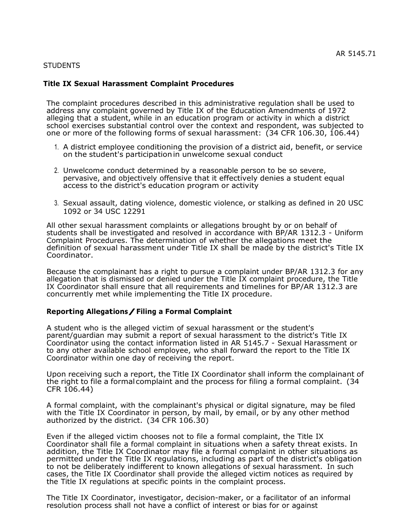#### **STUDENTS**

### **Title IX Sexual Harassment Complaint Procedures**

The complaint procedures described in this administrative regulation shall be used to address any complaint governed by Title IX of the Education Amendments of 1972 alleging that a student, while in an education program or activity in which a district school exercises substantial control over the context and respondent, was subjected to one or more of the following forms of sexual harassment: (34 CFR 106.30, 106.44)

- 1. A district employee conditioning the provision of a district aid, benefit, or service on the student's participationin unwelcome sexual conduct
- 2. Unwelcome conduct determined by a reasonable person to be so severe, pervasive, and objectively offensive that it effectively denies a student equal access to the district's education program or activity
- 3. Sexual assault, dating violence, domestic violence, or stalking as defined in 20 USC 1092 or 34 USC 12291

All other sexual harassment complaints or allegations brought by or on behalf of students shall be investigated and resolved in accordance with BP/AR 1312.3 - Uniform Complaint Procedures. The determination of whether the allegations meet the definition of sexual harassment under Title IX shall be made by the district's Title IX Coordinator.

Because the complainant has a right to pursue a complaint under BP/AR 1312.3 for any allegation that is dismissed or denied under the Title IX complaint procedure, the Title IX Coordinator shall ensure that all requirements and timelines for BP/AR 1312.3 are concurrently met while implementing the Title IX procedure.

### **Reporting Allegations/Filing <sup>a</sup> Formal Complaint**

A student who is the alleged victim of sexual harassment or the student's parent/guardian may submit a report of sexual harassment to the district's Title IX Coordinator using the contact information listed in AR 5145.7 - Sexual Harassment or to any other available school employee, who shall forward the report to the Title IX Coordinator within one day of receiving the report.

Upon receiving such a report, the Title IX Coordinator shall inform the complainant of the right to file a formalcomplaint and the process for filing a formal complaint. (34 CFR 106.44)

A formal complaint, with the complainant's physical or digital signature, may be filed with the Title IX Coordinator in person, by mail, by email, or by any other method authorized by the district. (34 CFR 106.30)

Even if the alleged victim chooses not to file a formal complaint, the Title IX Coordinator shall file a formal complaint in situations when a safety threat exists. In addition, the Title IX Coordinator may file a formal complaint in other situations as permitted under the Title IX regulations, including as part of the district's obligation to not be deliberately indifferent to known allegations of sexual harassment. In such cases, the Title IX Coordinator shall provide the alleged victim notices as required by the Title IX regulations at specific points in the complaint process.

The Title IX Coordinator, investigator, decision-maker, or a facilitator of an informal resolution process shall not have a conflict of interest or bias for or against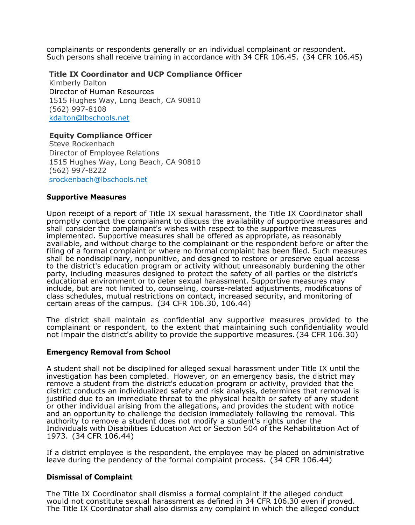complainants or respondents generally or an individual complainant or respondent. Such persons shall receive training in accordance with 34 CFR 106.45. (34 CFR 106.45)

# **Title IX Coordinator and UCP Compliance Officer**

Kimberly Dalton Director of Human Resources 1515 Hughes Way, Long Beach, CA 90810 (562) 997-8108 [kdalton@lbschools.net](mailto:kdalton@lbschools.net)

# **Equity Compliance Officer**

Steve Rockenbach Director of Employee Relations 1515 Hughes Way, Long Beach, CA 90810 (562) 997-8222 [srockenbach@lbschools.net](mailto:srockenbach@lbschools.net)

### **Supportive Measures**

Upon receipt of a report of Title IX sexual harassment, the Title IX Coordinator shall promptly contact the complainant to discuss the availability of supportive measures and shall consider the complainant's wishes with respect to the supportive measures implemented. Supportive measures shall be offered as appropriate, as reasonably available, and without charge to the complainant or the respondent before or after the filing of a formal complaint or where no formal complaint has been filed. Such measures shall be nondisciplinary, nonpunitive, and designed to restore or preserve equal access to the district's education program or activity without unreasonably burdening the other party, including measures designed to protect the safety of all parties or the district's educational environment or to deter sexual harassment. Supportive measures may include, but are not limited to, counseling, course-related adjustments, modifications of class schedules, mutual restrictions on contact, increased security, and monitoring of certain areas of the campus. (34 CFR 106.30, 106.44)

The district shall maintain as confidential any supportive measures provided to the complainant or respondent, to the extent that maintaining such confidentiality would not impair the district's ability to provide the supportive measures. (34 CFR 106.30)

### **Emergency Removal from School**

A student shall not be disciplined for alleged sexual harassment under Title IX until the investigation has been completed. However, on an emergency basis, the district may remove a student from the district's education program or activity, provided that the district conducts an individualized safety and risk analysis, determines that removal is justified due to an immediate threat to the physical health or safety of any student or other individual arising from the allegations, and provides the student with notice and an opportunity to challenge the decision immediately following the removal. This authority to remove a student does not modify a student's rights under the Individuals with Disabilities Education Act or Section 504 of the Rehabilitation Act of 1973. (34 CFR 106.44)

If a district employee is the respondent, the employee may be placed on administrative leave during the pendency of the formal complaint process. (34 CFR 106.44)

### **Dismissal of Complaint**

The Title IX Coordinator shall dismiss a formal complaint if the alleged conduct would not constitute sexual harassment as defined in 34 CFR 106.30 even if proved. The Title IX Coordinator shall also dismiss any complaint in which the alleged conduct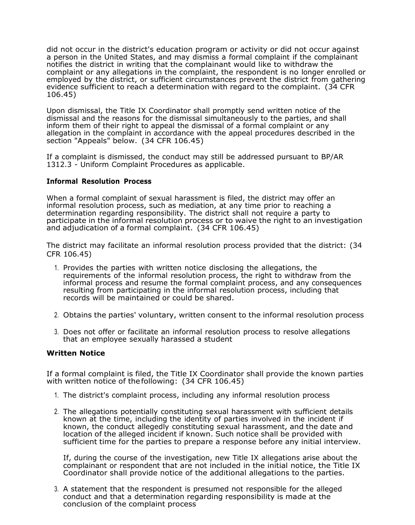did not occur in the district's education program or activity or did not occur against a person in the United States, and may dismiss a formal complaint if the complainant notifies the district in writing that the complainant would like to withdraw the complaint or any allegations in the complaint, the respondent is no longer enrolled or employed by the district, or sufficient circumstances prevent the district from gathering evidence sufficient to reach a determination with regard to the complaint. (34 CFR 106.45)

Upon dismissal, the Title IX Coordinator shall promptly send written notice of the dismissal and the reasons for the dismissal simultaneously to the parties, and shall inform them of their right to appeal the dismissal of a formal complaint or any allegation in the complaint in accordance with the appeal procedures described in the section "Appeals" below. (34 CFR 106.45)

If a complaint is dismissed, the conduct may still be addressed pursuant to BP/AR 1312.3 - Uniform Complaint Procedures as applicable.

### **Informal Resolution Process**

When a formal complaint of sexual harassment is filed, the district may offer an informal resolution process, such as mediation, at any time prior to reaching a determination regarding responsibility. The district shall not require a party to participate in the informal resolution process or to waive the right to an investigation and adjudication of a formal complaint. (34 CFR 106.45)

The district may facilitate an informal resolution process provided that the district: (34 CFR 106.45)

- 1. Provides the parties with written notice disclosing the allegations, the requirements of the informal resolution process, the right to withdraw from the informal process and resume the formal complaint process, and any consequences resulting from participating in the informal resolution process, including that records will be maintained or could be shared.
- 2. Obtains the parties' voluntary, written consent to the informal resolution process
- 3. Does not offer or facilitate an informal resolution process to resolve allegations that an employee sexually harassed a student

### **Written Notice**

If a formal complaint is filed, the Title IX Coordinator shall provide the known parties with written notice of thefollowing: (34 CFR 106.45)

- 1. The district's complaint process, including any informal resolution process
- 2. The allegations potentially constituting sexual harassment with sufficient details known at the time, including the identity of parties involved in the incident if known, the conduct allegedly constituting sexual harassment, and the date and location of the alleged incident if known. Such notice shall be provided with sufficient time for the parties to prepare a response before any initial interview.

If, during the course of the investigation, new Title IX allegations arise about the complainant or respondent that are not included in the initial notice, the Title IX Coordinator shall provide notice of the additional allegations to the parties.

3. A statement that the respondent is presumed not responsible for the alleged conduct and that a determination regarding responsibility is made at the conclusion of the complaint process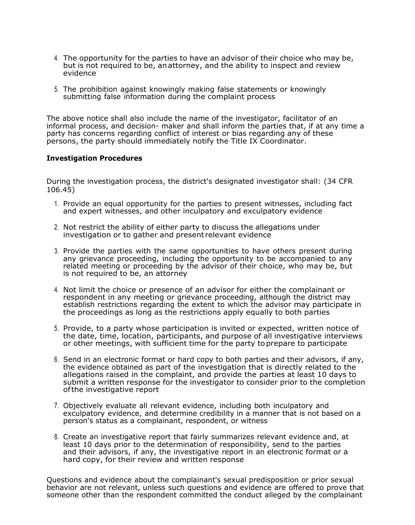- 4. The opportunity for the parties to have an advisor of their choice who may be, but is not required to be, anattorney, and the ability to inspect and review evidence
- 5. The prohibition against knowingly making false statements or knowingly submitting false information during the complaint process

The above notice shall also include the name of the investigator, facilitator of an informal process, and decision- maker and shall inform the parties that, if at any time a party has concerns regarding conflict of interest or bias regarding any of these persons, the party should immediately notify the Title IX Coordinator.

### **Investigation Procedures**

During the investigation process, the district's designated investigator shall: (34 CFR 106.45)

- 1. Provide an equal opportunity for the parties to present witnesses, including fact and expert witnesses, and other inculpatory and exculpatory evidence
- 2. Not restrict the ability of either party to discuss the allegations under investigation or to gather and present relevant evidence
- 3. Provide the parties with the same opportunities to have others present during any grievance proceeding, including the opportunity to be accompanied to any related meeting or proceeding by the advisor of their choice, who may be, but is not required to be, an attorney
- 4. Not limit the choice or presence of an advisor for either the complainant or respondent in any meeting or grievance proceeding, although the district may establish restrictions regarding the extent to which the advisor may participate in the proceedings as long as the restrictions apply equally to both parties
- 5. Provide, to a party whose participation is invited or expected, written notice of the date, time, location, participants, and purpose of all investigative interviews or other meetings, with sufficient time for the party toprepare to participate
- 6. Send in an electronic format or hard copy to both parties and their advisors, if any, the evidence obtained as part of the investigation that is directly related to the allegations raised in the complaint, and provide the parties at least 10 days to submit a written response for the investigator to consider prior to the completion ofthe investigative report
- 7. Objectively evaluate all relevant evidence, including both inculpatory and exculpatory evidence, and determine credibility in a manner that is not based on a person's status as a complainant, respondent, or witness
- 8. Create an investigative report that fairly summarizes relevant evidence and, at least 10 days prior to the determination of responsibility, send to the parties and their advisors, if any, the investigative report in an electronic format or a hard copy, for their review and written response

Questions and evidence about the complainant's sexual predisposition or prior sexual behavior are not relevant, unless such questions and evidence are offered to prove that someone other than the respondent committed the conduct alleged by the complainant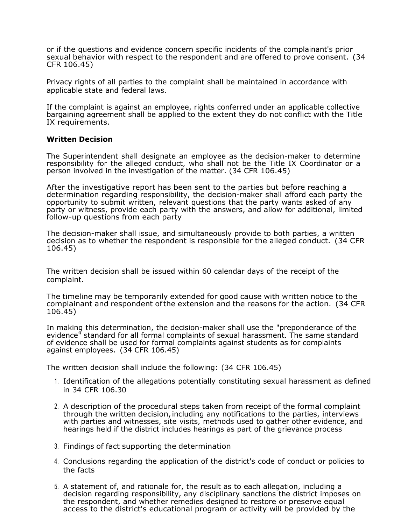or if the questions and evidence concern specific incidents of the complainant's prior sexual behavior with respect to the respondent and are offered to prove consent. (34 CFR 106.45)

Privacy rights of all parties to the complaint shall be maintained in accordance with applicable state and federal laws.

If the complaint is against an employee, rights conferred under an applicable collective bargaining agreement shall be applied to the extent they do not conflict with the Title IX requirements.

### **Written Decision**

The Superintendent shall designate an employee as the decision-maker to determine responsibility for the alleged conduct, who shall not be the Title IX Coordinator or a person involved in the investigation of the matter. (34 CFR 106.45)

After the investigative report has been sent to the parties but before reaching a determination regarding responsibility, the decision-maker shall afford each party the opportunity to submit written, relevant questions that the party wants asked of any party or witness, provide each party with the answers, and allow for additional, limited follow-up questions from each party

The decision-maker shall issue, and simultaneously provide to both parties, a written decision as to whether the respondent is responsible for the alleged conduct. (34 CFR 106.45)

The written decision shall be issued within 60 calendar days of the receipt of the complaint.

The timeline may be temporarily extended for good cause with written notice to the complainant and respondent ofthe extension and the reasons for the action. (34 CFR 106.45)

In making this determination, the decision-maker shall use the "preponderance of the evidence" standard for all formal complaints of sexual harassment. The same standard of evidence shall be used for formal complaints against students as for complaints against employees. (34 CFR 106.45)

The written decision shall include the following: (34 CFR 106.45)

- 1. Identification of the allegations potentially constituting sexual harassment as defined in 34 CFR 106.30
- 2. A description of the procedural steps taken from receipt of the formal complaint through the written decision, including any notifications to the parties, interviews with parties and witnesses, site visits, methods used to gather other evidence, and hearings held if the district includes hearings as part of the grievance process
- 3. Findings of fact supporting the determination
- 4. Conclusions regarding the application of the district's code of conduct or policies to the facts
- 5. A statement of, and rationale for, the result as to each allegation, including a decision regarding responsibility, any disciplinary sanctions the district imposes on the respondent, and whether remedies designed to restore or preserve equal access to the district's educational program or activity will be provided by the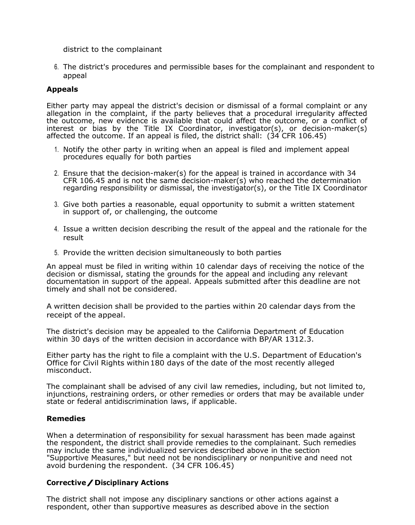district to the complainant

6. The district's procedures and permissible bases for the complainant and respondent to appeal

### **Appeals**

Either party may appeal the district's decision or dismissal of a formal complaint or any allegation in the complaint, if the party believes that a procedural irregularity affected the outcome, new evidence is available that could affect the outcome, or a conflict of interest or bias by the Title IX Coordinator, investigator(s), or decision-maker(s) affected the outcome. If an appeal is filed, the district shall: (34 CFR 106.45)

- 1. Notify the other party in writing when an appeal is filed and implement appeal procedures equally for both parties
- 2. Ensure that the decision-maker(s) for the appeal is trained in accordance with 34 CFR 106.45 and is not the same decision-maker(s) who reached the determination regarding responsibility or dismissal, the investigator(s), or the Title IX Coordinator
- 3. Give both parties a reasonable, equal opportunity to submit a written statement in support of, or challenging, the outcome
- 4. Issue a written decision describing the result of the appeal and the rationale for the result
- 5. Provide the written decision simultaneously to both parties

An appeal must be filed in writing within 10 calendar days of receiving the notice of the decision or dismissal, stating the grounds for the appeal and including any relevant documentation in support of the appeal. Appeals submitted after this deadline are not timely and shall not be considered.

A written decision shall be provided to the parties within 20 calendar days from the receipt of the appeal.

The district's decision may be appealed to the California Department of Education within 30 days of the written decision in accordance with BP/AR 1312.3.

Either party has the right to file a complaint with the U.S. Department of Education's Office for Civil Rights within180 days of the date of the most recently alleged misconduct.

The complainant shall be advised of any civil law remedies, including, but not limited to, injunctions, restraining orders, or other remedies or orders that may be available under state or federal antidiscrimination laws, if applicable.

### **Remedies**

When a determination of responsibility for sexual harassment has been made against the respondent, the district shall provide remedies to the complainant. Such remedies may include the same individualized services described above in the section "Supportive Measures," but need not be nondisciplinary or nonpunitive and need not avoid burdening the respondent. (34 CFR 106.45)

### **Corrective/Disciplinary Actions**

The district shall not impose any disciplinary sanctions or other actions against a respondent, other than supportive measures as described above in the section